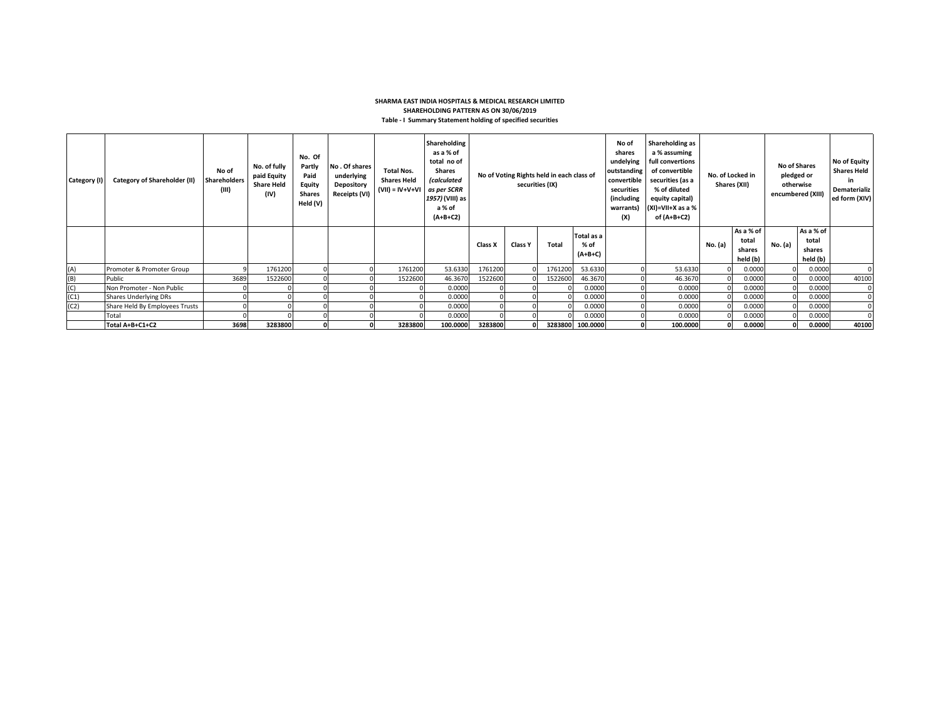### **SHARMA EAST INDIA HOSPITALS & MEDICAL RESEARCH LIMITED SHAREHOLDING PATTERN AS ON 30/06/2019 Table - I Summary Statement holding of specified securities**

| Category (I) | <b>Category of Shareholder (II)</b> | No of<br><b>Shareholders</b><br>(III) | No. of fully<br>paid Equity<br><b>Share Held</b><br>(IV) | No. Of<br>Partly<br>Paid<br>Equity<br><b>Shares</b><br>Held (V) | No. Of shares<br>underlying<br>Depository<br>Receipts (VI) | <b>Total Nos.</b><br><b>Shares Held</b><br>$(VII) = IV + V + VI$ | Shareholding<br>as a % of<br>total no of<br><b>Shares</b><br><i>(calculated</i><br>as per SCRR<br>1957) (VIII) as<br>a % of<br>$(A+B+C2)$ |         |                | No of Voting Rights held in each class of<br>securities (IX) |                                 | No of<br>shares<br>undelying<br>outstanding<br>convertible<br>securities<br>(including<br>warrants)<br>(X) | Shareholding as<br>a % assuming<br>full convertions<br>of convertible<br>securities (as a<br>% of diluted<br>equity capital)<br>$(XI)=VII+X$ as a %<br>of (A+B+C2) | No. of Locked in | Shares (XII)                             | <b>No of Shares</b><br>pledged or<br>otherwise<br>encumbered (XIII) |                                          | No of Equity<br><b>Shares Held</b><br>in.<br>Dematerializ<br>ed form (XIV) |
|--------------|-------------------------------------|---------------------------------------|----------------------------------------------------------|-----------------------------------------------------------------|------------------------------------------------------------|------------------------------------------------------------------|-------------------------------------------------------------------------------------------------------------------------------------------|---------|----------------|--------------------------------------------------------------|---------------------------------|------------------------------------------------------------------------------------------------------------|--------------------------------------------------------------------------------------------------------------------------------------------------------------------|------------------|------------------------------------------|---------------------------------------------------------------------|------------------------------------------|----------------------------------------------------------------------------|
|              |                                     |                                       |                                                          |                                                                 |                                                            |                                                                  |                                                                                                                                           | Class X | <b>Class Y</b> | <b>Total</b>                                                 | Total as a<br>% of<br>$(A+B+C)$ |                                                                                                            |                                                                                                                                                                    | No. (a)          | As a % of<br>total<br>shares<br>held (b) | No. (a)                                                             | As a % of<br>total<br>shares<br>held (b) |                                                                            |
| (A)          | Promoter & Promoter Group           |                                       | 1761200                                                  |                                                                 |                                                            | 1761200                                                          | 53.6330                                                                                                                                   | 1761200 |                | 1761200                                                      | 53.6330                         |                                                                                                            | 53.6330                                                                                                                                                            |                  | 0.0000                                   |                                                                     | 0.0000                                   |                                                                            |
| (B)          | Public                              | 3689                                  | 1522600                                                  |                                                                 |                                                            | 1522600                                                          | 46.3670                                                                                                                                   | 1522600 |                | 1522600                                                      | 46.3670                         |                                                                                                            | 46.3670                                                                                                                                                            |                  | 0.0000                                   |                                                                     | 0.0000                                   | 40100                                                                      |
| (C)          | Non Promoter - Non Public           |                                       |                                                          |                                                                 |                                                            |                                                                  | 0.0000                                                                                                                                    |         |                |                                                              | 0.0000                          |                                                                                                            | 0.0000                                                                                                                                                             |                  | 0.0000                                   |                                                                     | 0.0000                                   |                                                                            |
| (C1)         | <b>Shares Underlying DRs</b>        |                                       |                                                          |                                                                 |                                                            |                                                                  | 0.0000                                                                                                                                    |         |                |                                                              | 0.0000                          |                                                                                                            | 0.0000                                                                                                                                                             |                  | 0.0000                                   |                                                                     | 0.0000                                   |                                                                            |
| (C2)         | Share Held By Employees Trusts      |                                       |                                                          |                                                                 |                                                            |                                                                  | 0.0000                                                                                                                                    |         |                |                                                              | 0.0000                          |                                                                                                            | 0.0000                                                                                                                                                             |                  | 0.0000                                   |                                                                     | 0.0000                                   |                                                                            |
|              | Total                               |                                       |                                                          |                                                                 |                                                            |                                                                  | 0.0000                                                                                                                                    |         |                |                                                              | 0.0000                          |                                                                                                            | 0.0000                                                                                                                                                             |                  | 0.0000                                   |                                                                     | 0.0000                                   |                                                                            |
|              | Total A+B+C1+C2                     | 3698                                  | 3283800                                                  |                                                                 |                                                            | 3283800                                                          | 100.0000                                                                                                                                  | 3283800 |                |                                                              | 3283800 100.0000                |                                                                                                            | 100.0000                                                                                                                                                           |                  | 0.0000                                   |                                                                     | 0.0000                                   | 40100                                                                      |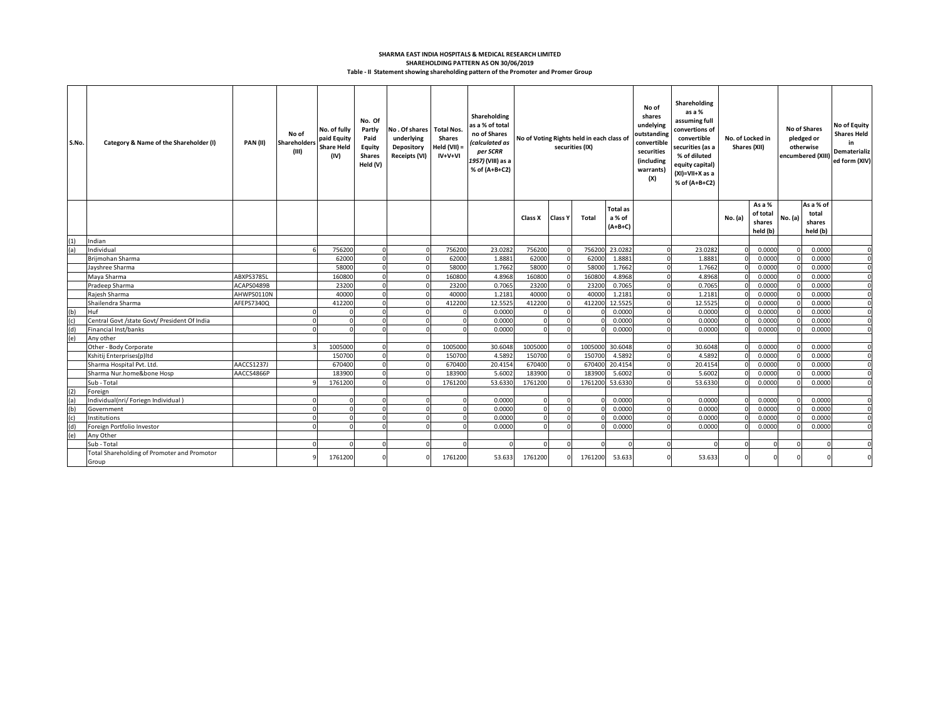### **Table - II Statement showing shareholding pattern of the Promoter and Promer Group SHAREHOLDING PATTERN AS ON 30/06/2019 SHARMA EAST INDIA HOSPITALS & MEDICAL RESEARCH LIMITED**

| S.No. | Category & Name of the Shareholder (I)               | <b>PAN (II)</b> | No of<br>Shareholders<br>(III) | No. of fully<br>paid Equity<br><b>Share Held</b><br>(IV) | No. Of<br>Partly<br>Paid<br>Equity<br><b>Shares</b><br>Held (V) | No. Of shares   Total Nos.<br>underlying<br>Depository<br>Receipts (VI) | <b>Shares</b><br>Held $(VII)$ =<br>IV+V+VI | Shareholding<br>as a % of total<br>no of Shares<br>(calculated as<br>per SCRR<br>1957) (VIII) as a<br>% of (A+B+C2) | No of Voting Rights held in each class of<br>securities (IX) |                |         | No of<br>shares<br>undelying<br>outstanding<br>convertible<br>securities<br>(including<br>warrants)<br>(X) | <b>Shareholding</b><br>as a %<br>assuming full<br>convertions of<br>convertible<br>securities (as a<br>% of diluted<br>equity capital)<br>(XI)=VII+X as a<br>% of (A+B+C2) | No. of Locked in<br>Shares (XII) |         | <b>No of Shares</b><br>pledged or<br>otherwise<br>encumbered (XIII) |         | <b>No of Equity</b><br><b>Shares Held</b><br>in<br>Dematerializ<br>ed form (XIV) |             |
|-------|------------------------------------------------------|-----------------|--------------------------------|----------------------------------------------------------|-----------------------------------------------------------------|-------------------------------------------------------------------------|--------------------------------------------|---------------------------------------------------------------------------------------------------------------------|--------------------------------------------------------------|----------------|---------|------------------------------------------------------------------------------------------------------------|----------------------------------------------------------------------------------------------------------------------------------------------------------------------------|----------------------------------|---------|---------------------------------------------------------------------|---------|----------------------------------------------------------------------------------|-------------|
|       |                                                      |                 |                                |                                                          |                                                                 |                                                                         |                                            |                                                                                                                     | Class X                                                      | <b>Class Y</b> | Total   | <b>Total as</b><br>a % of<br>$(A+B+C)$                                                                     |                                                                                                                                                                            |                                  | No. (a) | As a %<br>of total<br>shares<br>held (b)                            | No. (a) | As a % of<br>total<br>shares<br>held (b)                                         |             |
| (1)   | Indian                                               |                 |                                |                                                          |                                                                 |                                                                         |                                            |                                                                                                                     |                                                              |                |         |                                                                                                            |                                                                                                                                                                            |                                  |         |                                                                     |         |                                                                                  |             |
| (a)   | Individual                                           |                 |                                | 756200                                                   | $\Omega$                                                        | $\Omega$                                                                | 756200                                     | 23.0282                                                                                                             | 756200                                                       |                | 756200  | 23.0282                                                                                                    |                                                                                                                                                                            | 23.0282                          |         | 0.0000                                                              |         | 0.0000                                                                           | $\Omega$    |
|       | Brijmohan Sharma                                     |                 |                                | 62000                                                    |                                                                 |                                                                         | 62000                                      | 1.8881                                                                                                              | 62000                                                        |                | 62000   | 1.8881                                                                                                     |                                                                                                                                                                            | 1.8881                           |         | 0.0000                                                              |         | 0.0000                                                                           | $\Omega$    |
|       | Jayshree Sharma                                      |                 |                                | 58000                                                    |                                                                 |                                                                         | 58000                                      | 1.7662                                                                                                              | 58000                                                        |                | 58000   | 1.7662                                                                                                     |                                                                                                                                                                            | 1.7662                           |         | 0.0000                                                              |         | 0.0000                                                                           | $\Omega$    |
|       | Maya Sharma                                          | ABXPS3785L      |                                | 160800                                                   |                                                                 |                                                                         | 160800                                     | 4.8968                                                                                                              | 160800                                                       |                | 160800  | 4.8968                                                                                                     |                                                                                                                                                                            | 4.8968                           |         | 0.0000                                                              |         | 0.0000                                                                           | $\Omega$    |
|       | Pradeep Sharma                                       | ACAPS0489B      |                                | 23200                                                    | $\Omega$                                                        | $\Omega$                                                                | 23200                                      | 0.7065                                                                                                              | 23200                                                        |                | 23200   | 0.7065                                                                                                     |                                                                                                                                                                            | 0.7065                           |         | 0.0000                                                              |         | 0.0000                                                                           | $\Omega$    |
|       | Rajesh Sharma                                        | AHWPS0110N      |                                | 40000                                                    | $\Omega$                                                        |                                                                         | 40000                                      | 1.2181                                                                                                              | 40000                                                        |                | 40000   | 1.2181                                                                                                     |                                                                                                                                                                            | 1.2181                           |         | 0.0000                                                              |         | 0.0000                                                                           | $\Omega$    |
|       | Shailendra Sharma                                    | AFEPS7340Q      |                                | 412200                                                   | $\Omega$                                                        | $\Omega$                                                                | 412200                                     | 12.5525                                                                                                             | 412200                                                       |                | 412200  | 12.5525                                                                                                    |                                                                                                                                                                            | 12.5525                          |         | 0.0000                                                              |         | 0.0000                                                                           | $\Omega$    |
| (b)   | Huf                                                  |                 |                                |                                                          | $\Omega$                                                        | $\Omega$                                                                |                                            | 0.0000                                                                                                              |                                                              |                |         | 0.0000                                                                                                     |                                                                                                                                                                            | 0.0000                           |         | 0.0000                                                              |         | 0.0000                                                                           | $\Omega$    |
|       | Central Govt /state Govt/ President Of India         |                 |                                |                                                          |                                                                 | $\Omega$                                                                |                                            | 0.0000                                                                                                              |                                                              |                |         | 0.0000                                                                                                     |                                                                                                                                                                            | 0.0000                           |         | 0.0000                                                              |         | 0.0000                                                                           | $\Omega$    |
| (d)   | <b>Financial Inst/banks</b>                          |                 |                                |                                                          | $\Omega$                                                        | $\Omega$                                                                |                                            | 0.0000                                                                                                              |                                                              |                |         | 0.0000                                                                                                     |                                                                                                                                                                            | 0.0000                           |         | 0.0000                                                              |         | 0.0000                                                                           | $\Omega$    |
| (e)   | Any other                                            |                 |                                |                                                          |                                                                 |                                                                         |                                            |                                                                                                                     |                                                              |                |         |                                                                                                            |                                                                                                                                                                            |                                  |         |                                                                     |         |                                                                                  |             |
|       | Other - Body Corporate                               |                 |                                | 1005000                                                  | $\Omega$                                                        | $\Omega$                                                                | 1005000                                    | 30.6048                                                                                                             | 1005000                                                      |                | 1005000 | 30.6048                                                                                                    |                                                                                                                                                                            | 30.6048                          |         | 0.0000                                                              |         | 0.0000                                                                           | $\Omega$    |
|       | Kshitij Enterprises(p)Itd                            |                 |                                | 150700                                                   | $\Omega$                                                        |                                                                         | 150700                                     | 4.5892                                                                                                              | 150700                                                       |                | 150700  | 4.5892                                                                                                     |                                                                                                                                                                            | 4.5892                           |         | 0.0000                                                              |         | 0.0000                                                                           | $\mathbf 0$ |
|       | Sharma Hospital Pvt. Ltd.                            | AACCS1237J      |                                | 670400                                                   | $\Omega$                                                        | $\Omega$                                                                | 670400                                     | 20.4154                                                                                                             | 670400                                                       |                | 670400  | 20.4154                                                                                                    |                                                                                                                                                                            | 20.4154                          |         | 0.0000                                                              |         | 0.0000                                                                           | $\mathbf 0$ |
|       | Sharma Nur.home&bone Hosp                            | AACCS4866P      |                                | 18390                                                    |                                                                 |                                                                         | 183900                                     | 5.6002                                                                                                              | 183900                                                       |                | 183900  | 5.6002                                                                                                     |                                                                                                                                                                            | 5.6002                           |         | 0.0000                                                              |         | 0.0000                                                                           | $\Omega$    |
|       | Sub - Total                                          |                 |                                | 1761200                                                  | $\Omega$                                                        | $\Omega$                                                                | 1761200                                    | 53.6330                                                                                                             | 1761200                                                      |                | 1761200 | 53.6330                                                                                                    |                                                                                                                                                                            | 53.6330                          |         | 0.0000                                                              |         | 0.0000                                                                           | $\Omega$    |
| (2)   | Foreign                                              |                 |                                |                                                          |                                                                 |                                                                         |                                            |                                                                                                                     |                                                              |                |         |                                                                                                            |                                                                                                                                                                            |                                  |         |                                                                     |         |                                                                                  |             |
| (a)   | Individual(nri/Foriegn Individual)                   |                 | $\Omega$                       |                                                          | $\Omega$                                                        | $\Omega$                                                                |                                            | 0.0000                                                                                                              |                                                              |                |         | 0.0000                                                                                                     |                                                                                                                                                                            | 0.0000                           |         | 0.0000                                                              |         | 0.0000                                                                           | $\Omega$    |
| (b)   | Government                                           |                 |                                |                                                          |                                                                 |                                                                         |                                            | 0.0000                                                                                                              |                                                              |                |         | 0.0000                                                                                                     |                                                                                                                                                                            | 0.0000                           |         | 0.0000                                                              |         | 0.0000                                                                           |             |
| (c)   | Institutions                                         |                 |                                |                                                          |                                                                 | $\Omega$                                                                |                                            | 0.0000                                                                                                              |                                                              |                |         | 0.0000                                                                                                     |                                                                                                                                                                            | 0.0000                           |         | 0.0000                                                              |         | 0.0000                                                                           | $\mathbf 0$ |
| (d)   | Foreign Portfolio Investor                           |                 |                                |                                                          |                                                                 |                                                                         |                                            | 0.0000                                                                                                              |                                                              |                |         | 0.0000                                                                                                     |                                                                                                                                                                            | 0.0000                           |         | 0.0000                                                              |         | 0.0000                                                                           | $\Omega$    |
| (e)   | Any Other                                            |                 |                                |                                                          |                                                                 |                                                                         |                                            |                                                                                                                     |                                                              |                |         |                                                                                                            |                                                                                                                                                                            |                                  |         |                                                                     |         |                                                                                  |             |
|       | Sub - Total                                          |                 |                                |                                                          |                                                                 |                                                                         |                                            |                                                                                                                     |                                                              |                |         |                                                                                                            |                                                                                                                                                                            | C                                |         |                                                                     |         |                                                                                  |             |
|       | Total Shareholding of Promoter and Promotor<br>Group |                 |                                | 1761200                                                  |                                                                 |                                                                         | 1761200                                    | 53.633                                                                                                              | 1761200                                                      | $\Omega$       | 1761200 | 53.633                                                                                                     |                                                                                                                                                                            | 53.633                           |         |                                                                     |         |                                                                                  |             |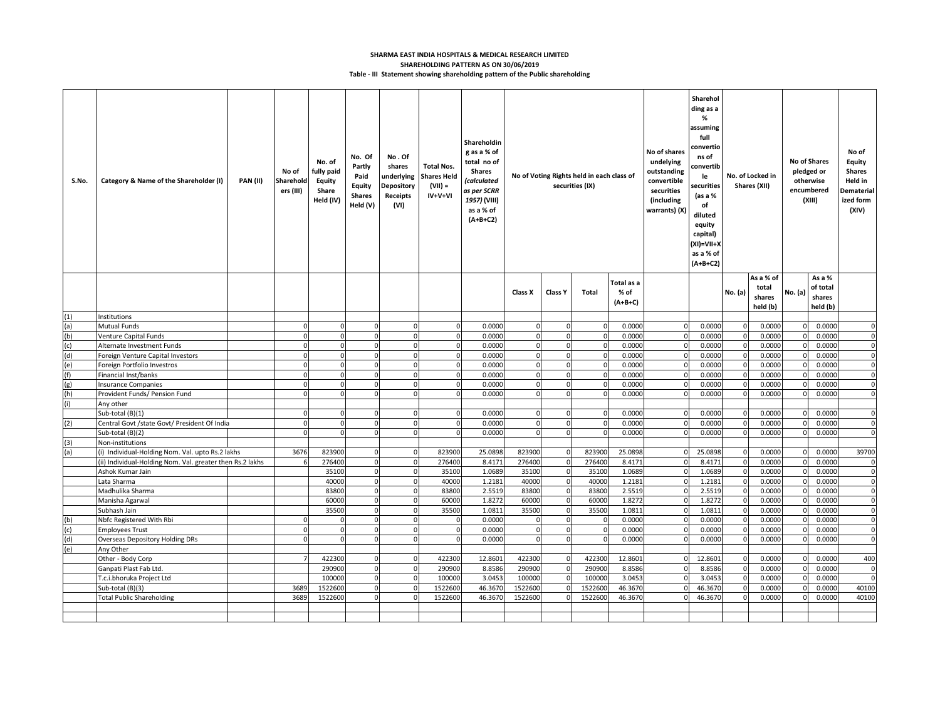# **Table - III Statement showing shareholding pattern of the Public shareholding SHARMA EAST INDIA HOSPITALS & MEDICAL RESEARCH LIMITED SHAREHOLDING PATTERN AS ON 30/06/2019**

| S.No. | Category & Name of the Shareholder (I)                    | <b>PAN (II)</b> | No of<br>Sharehold<br>ers (III) | No. of<br>fully paid<br>Equity<br>Share<br>Held (IV) | No. Of<br>Partly<br>Paid<br><b>Equity</b><br><b>Shares</b><br>Held (V) | No.Of<br>shares<br>underlying<br>Depository<br>Receipts<br>(VI) | <b>Total Nos.</b><br><b>Shares Held</b><br>$(VII) =$<br>IV+V+VI | Shareholdin<br>g as a % of<br>total no of<br>Shares<br><i>(calculated</i><br>as per SCRR<br>1957) (VIII)<br>as a % of<br>$(A+B+C2)$ |                |                | No of Voting Rights held in each class of<br>securities (IX) |                                 | No of shares<br>undelying<br>outstanding<br>convertible<br>securities<br>(including<br>warrants) (X) | Sharehol<br>ding as a<br>%<br>assuming<br>full<br>convertio<br>ns of<br>convertib<br>No. of Locked in<br>le<br>securities<br>Shares (XII)<br>(as a %<br>of<br>diluted<br>equity<br>capital)<br>(XI)=VII+X<br>as a % of<br>$(A+B+C2)$ |            |                                          | No of Shares<br>pledged or<br>otherwise<br>encumbered<br>(XIII) |                                          | No of<br><b>Equity</b><br>Shares<br>Held in<br>Dematerial<br>ized form<br>(XIV) |
|-------|-----------------------------------------------------------|-----------------|---------------------------------|------------------------------------------------------|------------------------------------------------------------------------|-----------------------------------------------------------------|-----------------------------------------------------------------|-------------------------------------------------------------------------------------------------------------------------------------|----------------|----------------|--------------------------------------------------------------|---------------------------------|------------------------------------------------------------------------------------------------------|--------------------------------------------------------------------------------------------------------------------------------------------------------------------------------------------------------------------------------------|------------|------------------------------------------|-----------------------------------------------------------------|------------------------------------------|---------------------------------------------------------------------------------|
|       |                                                           |                 |                                 |                                                      |                                                                        |                                                                 |                                                                 |                                                                                                                                     | Class X        | Class Y        | <b>Total</b>                                                 | Total as a<br>% of<br>$(A+B+C)$ |                                                                                                      |                                                                                                                                                                                                                                      | No. (a)    | As a % of<br>total<br>shares<br>held (b) | No. (a)                                                         | As a %<br>of total<br>shares<br>held (b) |                                                                                 |
| (1)   | Institutions                                              |                 |                                 |                                                      |                                                                        |                                                                 |                                                                 |                                                                                                                                     |                |                |                                                              |                                 |                                                                                                      |                                                                                                                                                                                                                                      |            |                                          |                                                                 |                                          |                                                                                 |
| (a)   | <b>Mutual Funds</b>                                       |                 | $\mathbf 0$                     | $\Omega$                                             | $\Omega$                                                               | $\Omega$                                                        | $\mathbf 0$                                                     | 0.0000                                                                                                                              | $\mathbf 0$    | $\Omega$       |                                                              | 0.0000                          |                                                                                                      | 0.0000                                                                                                                                                                                                                               | $\epsilon$ | 0.0000                                   | $\Omega$                                                        | 0.0000                                   | 0                                                                               |
| (b)   | Venture Capital Funds                                     |                 | $\mathbf 0$                     | 0                                                    | $\overline{0}$                                                         | $\circ$                                                         | $\mathbf 0$                                                     | 0.0000                                                                                                                              | $\mathbf 0$    | $\mathbf 0$    |                                                              | 0.0000                          |                                                                                                      | 0.0000                                                                                                                                                                                                                               | ſ          | 0.0000                                   |                                                                 | 0.0000                                   | 0                                                                               |
| (c)   | Alternate Investment Funds                                |                 | $\Omega$                        |                                                      | $\Omega$                                                               | $\Omega$                                                        | $\mathbf 0$                                                     | 0.0000                                                                                                                              | $\overline{0}$ | $\Omega$       |                                                              | 0.0000                          |                                                                                                      | 0.0000                                                                                                                                                                                                                               |            | 0.0000                                   |                                                                 | 0.0000                                   | 0                                                                               |
| (d)   | Foreign Venture Capital Investors                         |                 | $\overline{0}$                  | $\Omega$                                             | $\Omega$                                                               | $\mathbf 0$                                                     | $\mathbf 0$                                                     | 0.0000                                                                                                                              | $\mathbf 0$    | $\mathbf{0}$   |                                                              | 0.000                           |                                                                                                      | 0.0000                                                                                                                                                                                                                               | $\epsilon$ | 0.0000                                   | $\Omega$                                                        | 0.0000                                   | $\boldsymbol{0}$                                                                |
| (e)   | Foreign Portfolio Investros                               |                 | $\mathbf 0$                     | 0                                                    | $\overline{0}$                                                         | $\overline{0}$                                                  | $\mathbf 0$                                                     | 0.0000                                                                                                                              | 0              | $\mathbf 0$    |                                                              | 0.0000                          |                                                                                                      | 0.0000                                                                                                                                                                                                                               | -0         | 0.0000                                   |                                                                 | 0.0000                                   | 0                                                                               |
| (f)   | Financial Inst/banks                                      |                 | $\Omega$                        |                                                      |                                                                        | $\mathbf 0$                                                     | $\mathbf 0$                                                     | 0.0000                                                                                                                              | $\Omega$       | $\Omega$       |                                                              | 0.0000                          |                                                                                                      | 0.0000                                                                                                                                                                                                                               |            | 0.0000                                   |                                                                 | 0.0000                                   | 0                                                                               |
| (g)   | <b>Insurance Companies</b>                                |                 | $\mathbf 0$                     |                                                      |                                                                        | $\mathbf 0$                                                     | $\mathbf 0$                                                     | 0.0000                                                                                                                              | $\mathbf 0$    | $\Omega$       |                                                              | 0.0000                          |                                                                                                      | 0.0000                                                                                                                                                                                                                               |            | 0.0000                                   |                                                                 | 0.0000                                   | 0                                                                               |
| (h)   | Provident Funds/ Pension Fund                             |                 | $\mathbf 0$                     | $\Omega$                                             | $\overline{0}$                                                         | $\mathbf 0$                                                     | $\mathbf 0$                                                     | 0.0000                                                                                                                              | $\mathbf 0$    | $\overline{0}$ |                                                              | 0.0000                          |                                                                                                      | 0.0000                                                                                                                                                                                                                               | $\epsilon$ | 0.0000                                   |                                                                 | 0.0000                                   | $\boldsymbol{0}$                                                                |
| (i)   | Any other                                                 |                 |                                 |                                                      |                                                                        |                                                                 |                                                                 |                                                                                                                                     |                |                |                                                              |                                 |                                                                                                      |                                                                                                                                                                                                                                      |            |                                          |                                                                 |                                          |                                                                                 |
|       | Sub-total (B)(1)                                          |                 | 0                               |                                                      |                                                                        | 0                                                               | $\mathbf 0$                                                     | 0.0000                                                                                                                              |                |                |                                                              | 0.0000                          |                                                                                                      | 0.0000                                                                                                                                                                                                                               |            | 0.0000                                   |                                                                 | 0.0000                                   | 0                                                                               |
| (2)   | Central Govt /state Govt/ President Of India              |                 | $\overline{0}$                  | $\Omega$                                             | $\overline{0}$                                                         | $\overline{0}$                                                  | $\mathbf 0$                                                     | 0.0000                                                                                                                              | $\mathbf 0$    | $\mathbf{0}$   |                                                              | 0.0000                          | $\Omega$                                                                                             | 0.0000                                                                                                                                                                                                                               | $\epsilon$ | 0.0000                                   | $\Omega$                                                        | 0.0000                                   | $\boldsymbol{0}$                                                                |
|       | Sub-total (B)(2)                                          |                 | $\Omega$                        | $\Omega$                                             | $\Omega$                                                               | $\Omega$                                                        | $\mathbf{0}$                                                    | 0.0000                                                                                                                              | $\mathbf 0$    | $\mathbf{0}$   |                                                              | 0.0000                          |                                                                                                      | 0.0000                                                                                                                                                                                                                               | $\epsilon$ | 0.0000                                   | 0                                                               | 0.0000                                   | 0                                                                               |
| (3)   | Non-institutions                                          |                 |                                 |                                                      |                                                                        |                                                                 |                                                                 |                                                                                                                                     |                |                |                                                              |                                 |                                                                                                      |                                                                                                                                                                                                                                      |            |                                          |                                                                 |                                          |                                                                                 |
| (a)   | (i) Individual-Holding Nom. Val. upto Rs.2 lakhs          |                 | 3676                            | 823900                                               |                                                                        | $\mathbf 0$                                                     | 823900                                                          | 25.089                                                                                                                              | 823900         | $\Omega$       | 823900                                                       | 25.0898                         |                                                                                                      | 25.0898                                                                                                                                                                                                                              |            | 0.0000                                   |                                                                 | 0.0000                                   | 39700                                                                           |
|       | (ii) Individual-Holding Nom. Val. greater then Rs.2 lakhs |                 | 6                               | 276400                                               | $\circ$                                                                | $\mathbf 0$                                                     | 276400                                                          | 8.417                                                                                                                               | 276400         | $\mathbf 0$    | 276400                                                       | 8.417                           |                                                                                                      | 8.4171                                                                                                                                                                                                                               | - 0        | 0.0000                                   | $\Omega$                                                        | 0.0000                                   | 0                                                                               |
|       | Ashok Kumar Jain                                          |                 |                                 | 35100                                                | 0                                                                      | $\circ$                                                         | 35100                                                           | 1.0689                                                                                                                              | 35100          | $\mathbf 0$    | 35100                                                        | 1.0689                          |                                                                                                      | 1.0689                                                                                                                                                                                                                               |            | 0.0000                                   |                                                                 | 0.0000                                   | $\boldsymbol{0}$                                                                |
|       | Lata Sharma                                               |                 |                                 | 40000                                                | $\Omega$                                                               | $\pmb{0}$                                                       | 40000                                                           | 1.2181                                                                                                                              | 40000          | $\mathbf 0$    | 40000                                                        | 1.2181                          |                                                                                                      | 1.2181                                                                                                                                                                                                                               |            | 0.0000                                   |                                                                 | 0.0000                                   | $\mathbf 0$                                                                     |
|       | Madhulika Sharma                                          |                 |                                 | 83800                                                | $\overline{0}$                                                         | $\circ$                                                         | 83800                                                           | 2.5519                                                                                                                              | 83800          | $\mathbf 0$    | 83800                                                        | 2.5519                          |                                                                                                      | 2.5519                                                                                                                                                                                                                               | $\epsilon$ | 0.0000                                   | $\Omega$                                                        | 0.0000                                   | $\boldsymbol{0}$                                                                |
|       | Manisha Agarwal                                           |                 |                                 | 60000                                                | $\overline{0}$                                                         | $\overline{0}$                                                  | 60000                                                           | 1.8272                                                                                                                              | 60000          | $\mathbf 0$    | 60000                                                        | 1.8272                          |                                                                                                      | 1.8272                                                                                                                                                                                                                               | - 0        | 0.0000                                   |                                                                 | 0.0000                                   | $\mathbf 0$                                                                     |
|       | Subhash Jain                                              |                 |                                 | 35500                                                | $\Omega$                                                               | $\mathbf 0$                                                     | 35500                                                           | 1.0811                                                                                                                              | 35500          | $\mathbf 0$    | 35500                                                        | 1.0811                          |                                                                                                      | 1.0811                                                                                                                                                                                                                               |            | 0.0000                                   |                                                                 | 0.0000                                   | 0                                                                               |
| (b)   | Nbfc Registered With Rbi                                  |                 | $\Omega$                        | $\Omega$                                             |                                                                        | $\mathbf 0$                                                     | $\mathbf 0$                                                     | 0.0000                                                                                                                              |                | $\Omega$       |                                                              | 0.0000                          |                                                                                                      | 0.0000                                                                                                                                                                                                                               |            | 0.0000                                   |                                                                 | 0.0000                                   | 0                                                                               |
| (c)   | <b>Employees Trust</b>                                    |                 | $\mathbf 0$                     | $\mathbf 0$                                          | $\overline{0}$                                                         | $\circ$                                                         | $\mathbf 0$                                                     | 0.0000                                                                                                                              | $\mathbf 0$    | $\overline{0}$ |                                                              | 0.0000                          |                                                                                                      | 0.0000                                                                                                                                                                                                                               | $\epsilon$ | 0.0000                                   |                                                                 | 0.0000                                   | $\boldsymbol{0}$                                                                |
| (d)   | Overseas Depository Holding DRs                           |                 | $\Omega$                        | $\Omega$                                             | $\Omega$                                                               | $\mathbf 0$                                                     | $\mathbf{0}$                                                    | 0.0000                                                                                                                              | $\Omega$       | $\mathbf 0$    |                                                              | 0.0000                          |                                                                                                      | 0.0000                                                                                                                                                                                                                               | -0         | 0.0000                                   |                                                                 | 0.0000                                   | 0                                                                               |
| (e)   | Any Other                                                 |                 |                                 |                                                      |                                                                        |                                                                 |                                                                 |                                                                                                                                     |                |                |                                                              |                                 |                                                                                                      |                                                                                                                                                                                                                                      |            |                                          |                                                                 |                                          |                                                                                 |
|       | Other - Body Corp                                         |                 | $\overline{7}$                  | 422300                                               | $\overline{0}$                                                         | $\mathbf 0$                                                     | 422300                                                          | 12.8601                                                                                                                             | 422300         | $\mathbf 0$    | 422300                                                       | 12.8601                         | $\Omega$                                                                                             | 12.8601                                                                                                                                                                                                                              | - 0        | 0.0000                                   | $\mathbf{0}$                                                    | 0.0000                                   | 400                                                                             |
|       | Ganpati Plast Fab Ltd                                     |                 |                                 | 290900                                               | $\Omega$                                                               | $\mathbf 0$                                                     | 290900                                                          | 8.8586                                                                                                                              | 290900         | $\mathbf 0$    | 290900                                                       | 8.8586                          |                                                                                                      | 8.8586                                                                                                                                                                                                                               | - 0        | 0.0000                                   | $\Omega$                                                        | 0.0000                                   | 0                                                                               |
|       | T.c.i.bhoruka Project Ltd                                 |                 |                                 | 100000                                               | $\overline{0}$                                                         | $\circ$                                                         | 100000                                                          | 3.0453                                                                                                                              | 100000         | $\Omega$       | 100000                                                       | 3.0453                          |                                                                                                      | 3.0453                                                                                                                                                                                                                               |            | 0.0000                                   |                                                                 | 0.0000                                   | $\pmb{0}$                                                                       |
|       | Sub-total (B)(3)                                          |                 | 3689                            | 1522600                                              |                                                                        | $\mathbf 0$                                                     | 1522600                                                         | 46.3670                                                                                                                             | 1522600        |                | 1522600                                                      | 46.3670                         |                                                                                                      | 46.3670                                                                                                                                                                                                                              |            | 0.0000                                   |                                                                 | 0.0000                                   | 40100                                                                           |
|       | <b>Total Public Shareholding</b>                          |                 | 3689                            | 1522600                                              |                                                                        | $\mathbf 0$                                                     | 1522600                                                         | 46.3670                                                                                                                             | 1522600        |                | 1522600                                                      | 46.3670                         |                                                                                                      | 46.3670                                                                                                                                                                                                                              |            | 0.0000                                   |                                                                 | 0.0000                                   | 40100                                                                           |
|       |                                                           |                 |                                 |                                                      |                                                                        |                                                                 |                                                                 |                                                                                                                                     |                |                |                                                              |                                 |                                                                                                      |                                                                                                                                                                                                                                      |            |                                          |                                                                 |                                          |                                                                                 |
|       |                                                           |                 |                                 |                                                      |                                                                        |                                                                 |                                                                 |                                                                                                                                     |                |                |                                                              |                                 |                                                                                                      |                                                                                                                                                                                                                                      |            |                                          |                                                                 |                                          |                                                                                 |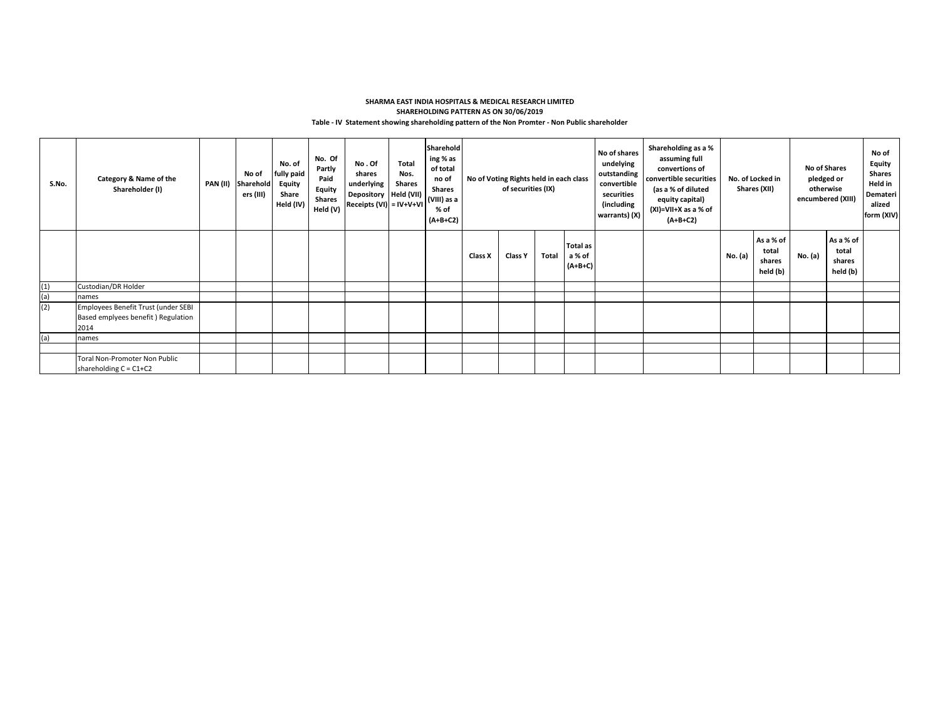# **Table - IV Statement showing shareholding pattern of the Non Promter - Non Public shareholder SHARMA EAST INDIA HOSPITALS & MEDICAL RESEARCH LIMITED SHAREHOLDING PATTERN AS ON 30/06/2019**

| S.No. | Category & Name of the<br>Shareholder (I)                                         | PAN (II) | No of<br>Sharehold<br>ers (III) | No. of<br>fully paid<br>Equity<br>Share<br>Held (IV) | No. Of<br>Partly<br>Paid<br>Equity<br><b>Shares</b><br>Held (V) | No . Of<br>shares<br>underlying<br>Depository   Held (VII)<br>Receipts (VI) = IV+V+VI | <b>Total</b><br>Nos.<br><b>Shares</b> | Sharehold<br>ing % as<br>of total<br>no of<br><b>Shares</b><br>(VIII) as a<br>% of<br>$(A+B+C2)$ | No of shares<br>undelying<br>outstanding<br>No of Voting Rights held in each class<br>convertible<br>of securities (IX)<br>securities<br>(including<br>warrants) (X) |         |       | Shareholding as a %<br>assuming full<br>convertions of<br>convertible securities<br>(as a % of diluted<br>equity capital)<br>(XI)=VII+X as a % of<br>$(A+B+C2)$ |  | No. of Locked in<br>Shares (XII) | <b>No of Shares</b><br>pledged or<br>otherwise<br>encumbered (XIII) | No of<br>Equity<br><b>Shares</b><br>Held in<br>Demateri<br>alized<br>form (XIV) |         |                                          |  |
|-------|-----------------------------------------------------------------------------------|----------|---------------------------------|------------------------------------------------------|-----------------------------------------------------------------|---------------------------------------------------------------------------------------|---------------------------------------|--------------------------------------------------------------------------------------------------|----------------------------------------------------------------------------------------------------------------------------------------------------------------------|---------|-------|-----------------------------------------------------------------------------------------------------------------------------------------------------------------|--|----------------------------------|---------------------------------------------------------------------|---------------------------------------------------------------------------------|---------|------------------------------------------|--|
|       |                                                                                   |          |                                 |                                                      |                                                                 |                                                                                       |                                       |                                                                                                  | Class X                                                                                                                                                              | Class Y | Total | <b>Total as</b><br>a % of<br>$(A+B+C)$                                                                                                                          |  |                                  | No. (a)                                                             | As a % of<br>total<br>shares<br>held (b)                                        | No. (a) | As a % of<br>total<br>shares<br>held (b) |  |
| (1)   | Custodian/DR Holder                                                               |          |                                 |                                                      |                                                                 |                                                                                       |                                       |                                                                                                  |                                                                                                                                                                      |         |       |                                                                                                                                                                 |  |                                  |                                                                     |                                                                                 |         |                                          |  |
| (a)   | names                                                                             |          |                                 |                                                      |                                                                 |                                                                                       |                                       |                                                                                                  |                                                                                                                                                                      |         |       |                                                                                                                                                                 |  |                                  |                                                                     |                                                                                 |         |                                          |  |
| (2)   | Employees Benefit Trust (under SEBI<br>Based emplyees benefit) Regulation<br>2014 |          |                                 |                                                      |                                                                 |                                                                                       |                                       |                                                                                                  |                                                                                                                                                                      |         |       |                                                                                                                                                                 |  |                                  |                                                                     |                                                                                 |         |                                          |  |
| (a)   | names                                                                             |          |                                 |                                                      |                                                                 |                                                                                       |                                       |                                                                                                  |                                                                                                                                                                      |         |       |                                                                                                                                                                 |  |                                  |                                                                     |                                                                                 |         |                                          |  |
|       |                                                                                   |          |                                 |                                                      |                                                                 |                                                                                       |                                       |                                                                                                  |                                                                                                                                                                      |         |       |                                                                                                                                                                 |  |                                  |                                                                     |                                                                                 |         |                                          |  |
|       | Toral Non-Promoter Non Public<br>shareholding $C = C1+C2$                         |          |                                 |                                                      |                                                                 |                                                                                       |                                       |                                                                                                  |                                                                                                                                                                      |         |       |                                                                                                                                                                 |  |                                  |                                                                     |                                                                                 |         |                                          |  |